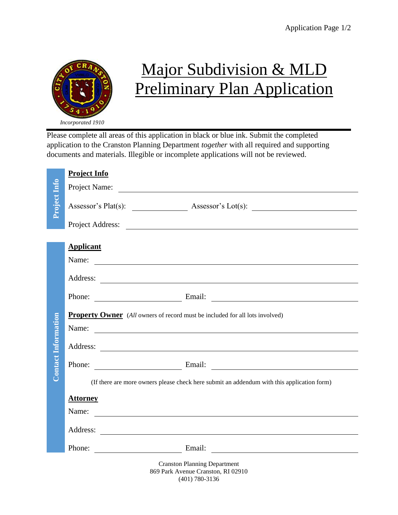

## Major Subdivision & MLD **Preliminary Plan Application**

Please complete all areas of this application in black or blue ink. Submit the completed application to the Cranston Planning Department *together* with all required and supporting documents and materials. Illegible or incomplete applications will not be reviewed.

|                            | <b>Project Info</b>                                                                          |
|----------------------------|----------------------------------------------------------------------------------------------|
|                            |                                                                                              |
| Project Info               |                                                                                              |
|                            | Project Address:                                                                             |
|                            | <b>Applicant</b><br>Name:                                                                    |
|                            |                                                                                              |
|                            | Phone: Email: Email:                                                                         |
| <b>Contact Information</b> | <b>Property Owner</b> (All owners of record must be included for all lots involved)<br>Name: |
|                            |                                                                                              |
|                            | Phone: Email: Email:                                                                         |
|                            | (If there are more owners please check here submit an addendum with this application form)   |
|                            | <b>Attorney</b>                                                                              |
|                            | Name:                                                                                        |
|                            |                                                                                              |
|                            | Phone: Email: Email:                                                                         |
|                            | <b>Cranston Planning Department</b><br>869 Park Avenue Cranston, RI 02910                    |

(401) 780-3136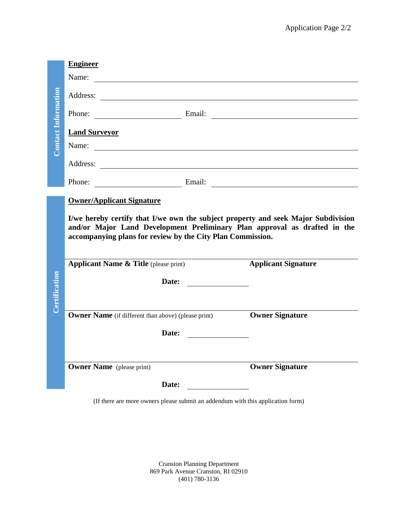|                    | <b>Engineer</b>                                                                                                                                                                                                              |                                          |                            |
|--------------------|------------------------------------------------------------------------------------------------------------------------------------------------------------------------------------------------------------------------------|------------------------------------------|----------------------------|
| ontact Information | Name:                                                                                                                                                                                                                        |                                          |                            |
|                    |                                                                                                                                                                                                                              |                                          |                            |
|                    | Phone: Email: Email:                                                                                                                                                                                                         |                                          |                            |
|                    | <b>Land Surveyor</b>                                                                                                                                                                                                         |                                          |                            |
|                    | Name:                                                                                                                                                                                                                        |                                          |                            |
|                    |                                                                                                                                                                                                                              |                                          |                            |
|                    | Phone: Email: Email: Email: 2008.                                                                                                                                                                                            |                                          |                            |
|                    | <b>Owner/Applicant Signature</b>                                                                                                                                                                                             |                                          |                            |
|                    |                                                                                                                                                                                                                              |                                          |                            |
|                    | I/we hereby certify that I/we own the subject property and seek Major Subdivision<br>and/or Major Land Development Preliminary Plan approval as drafted in the<br>accompanying plans for review by the City Plan Commission. |                                          |                            |
|                    | <b>Applicant Name &amp; Title</b> (please print)                                                                                                                                                                             |                                          | <b>Applicant Signature</b> |
|                    | Date:                                                                                                                                                                                                                        | <u> 1980 - Jan Barat, politik e</u>      |                            |
|                    |                                                                                                                                                                                                                              |                                          |                            |
| Certification      | <b>Owner Name</b> (if different than above) (please print)                                                                                                                                                                   |                                          | <b>Owner Signature</b>     |
|                    | Date:                                                                                                                                                                                                                        | <u> 1989 - Jan Alexandria (h. 1989).</u> |                            |
|                    |                                                                                                                                                                                                                              |                                          |                            |
|                    | <b>Owner Name</b> (please print)                                                                                                                                                                                             |                                          | <b>Owner Signature</b>     |
|                    | Date:                                                                                                                                                                                                                        |                                          |                            |

Cranston Planning Department 869 Park Avenue Cranston, RI 02910 (401) 780-3136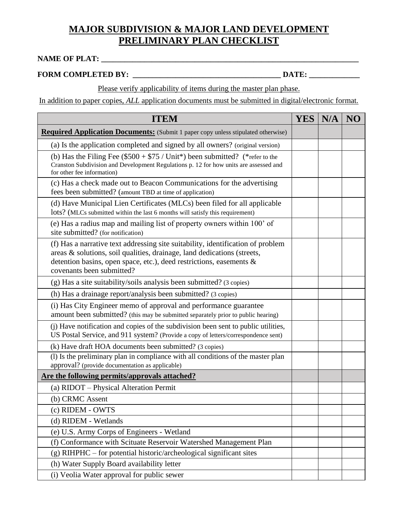## **MAJOR SUBDIVISION & MAJOR LAND DEVELOPMENT PRELIMINARY PLAN CHECKLIST**

## **NAME OF PLAT: \_\_\_\_\_\_\_\_\_\_\_\_\_\_\_\_\_\_\_\_\_\_\_\_\_\_\_\_\_\_\_\_\_\_\_\_\_\_\_\_\_\_\_\_\_\_\_\_\_\_\_\_\_\_\_\_\_\_\_\_\_\_\_\_\_\_**

## **FORM COMPLETED BY: \_\_\_\_\_\_\_\_\_\_\_\_\_\_\_\_\_\_\_\_\_\_\_\_\_\_\_\_\_\_\_\_\_\_\_\_\_\_ DATE: \_\_\_\_\_\_\_\_\_\_\_\_\_**

Please verify applicability of items during the master plan phase.

In addition to paper copies, *ALL* application documents must be submitted in digital/electronic format.

| <b>ITEM</b>                                                                                                                                                                                                                                                    | YES | N/A | NO |
|----------------------------------------------------------------------------------------------------------------------------------------------------------------------------------------------------------------------------------------------------------------|-----|-----|----|
| <b>Required Application Documents:</b> (Submit 1 paper copy unless stipulated otherwise)                                                                                                                                                                       |     |     |    |
| (a) Is the application completed and signed by all owners? (original version)                                                                                                                                                                                  |     |     |    |
| (b) Has the Filing Fee $(\$500 + \$75 / \text{Unit*})$ been submitted? (*refer to the<br>Cranston Subdivision and Development Regulations p. 12 for how units are assessed and<br>for other fee information)                                                   |     |     |    |
| (c) Has a check made out to Beacon Communications for the advertising<br>fees been submitted? (amount TBD at time of application)                                                                                                                              |     |     |    |
| (d) Have Municipal Lien Certificates (MLCs) been filed for all applicable<br>lots? (MLCs submitted within the last 6 months will satisfy this requirement)                                                                                                     |     |     |    |
| (e) Has a radius map and mailing list of property owners within 100' of<br>site submitted? (for notification)                                                                                                                                                  |     |     |    |
| (f) Has a narrative text addressing site suitability, identification of problem<br>areas & solutions, soil qualities, drainage, land dedications (streets,<br>detention basins, open space, etc.), deed restrictions, easements &<br>covenants been submitted? |     |     |    |
| (g) Has a site suitability/soils analysis been submitted? (3 copies)                                                                                                                                                                                           |     |     |    |
| (h) Has a drainage report/analysis been submitted? (3 copies)                                                                                                                                                                                                  |     |     |    |
| (i) Has City Engineer memo of approval and performance guarantee<br>amount been submitted? (this may be submitted separately prior to public hearing)                                                                                                          |     |     |    |
| (i) Have notification and copies of the subdivision been sent to public utilities,<br>US Postal Service, and 911 system? (Provide a copy of letters/correspondence sent)                                                                                       |     |     |    |
| (k) Have draft HOA documents been submitted? (3 copies)                                                                                                                                                                                                        |     |     |    |
| (1) Is the preliminary plan in compliance with all conditions of the master plan<br>approval? (provide documentation as applicable)                                                                                                                            |     |     |    |
| Are the following permits/approvals attached?                                                                                                                                                                                                                  |     |     |    |
| (a) RIDOT – Physical Alteration Permit                                                                                                                                                                                                                         |     |     |    |
| (b) CRMC Assent                                                                                                                                                                                                                                                |     |     |    |
| (c) RIDEM - OWTS                                                                                                                                                                                                                                               |     |     |    |
| (d) RIDEM - Wetlands                                                                                                                                                                                                                                           |     |     |    |
| (e) U.S. Army Corps of Engineers - Wetland                                                                                                                                                                                                                     |     |     |    |
| (f) Conformance with Scituate Reservoir Watershed Management Plan                                                                                                                                                                                              |     |     |    |
| (g) RIHPHC - for potential historic/archeological significant sites                                                                                                                                                                                            |     |     |    |
| (h) Water Supply Board availability letter                                                                                                                                                                                                                     |     |     |    |
| (i) Veolia Water approval for public sewer                                                                                                                                                                                                                     |     |     |    |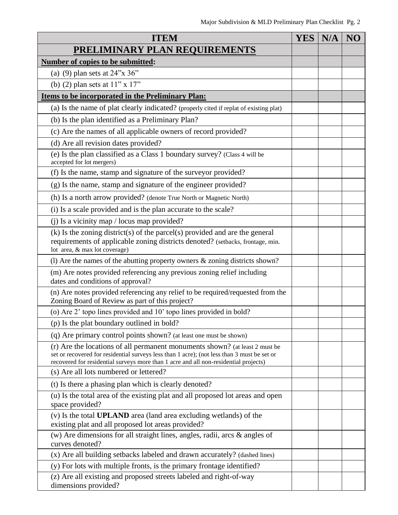| <b>ITEM</b>                                                                                                                                                                                                                                                        | <b>YES</b> | N/A | NO |
|--------------------------------------------------------------------------------------------------------------------------------------------------------------------------------------------------------------------------------------------------------------------|------------|-----|----|
| PRELIMINARY PLAN REQUIREMENTS                                                                                                                                                                                                                                      |            |     |    |
| Number of copies to be submitted:                                                                                                                                                                                                                                  |            |     |    |
| (a) (9) plan sets at $24$ "x $36$ "                                                                                                                                                                                                                                |            |     |    |
| (b) (2) plan sets at $11" \times 17"$                                                                                                                                                                                                                              |            |     |    |
| Items to be incorporated in the Preliminary Plan:                                                                                                                                                                                                                  |            |     |    |
| (a) Is the name of plat clearly indicated? (properly cited if replat of existing plat)                                                                                                                                                                             |            |     |    |
| (b) Is the plan identified as a Preliminary Plan?                                                                                                                                                                                                                  |            |     |    |
| (c) Are the names of all applicable owners of record provided?                                                                                                                                                                                                     |            |     |    |
| (d) Are all revision dates provided?                                                                                                                                                                                                                               |            |     |    |
| (e) Is the plan classified as a Class 1 boundary survey? (Class 4 will be<br>accepted for lot mergers)                                                                                                                                                             |            |     |    |
| (f) Is the name, stamp and signature of the surveyor provided?                                                                                                                                                                                                     |            |     |    |
| (g) Is the name, stamp and signature of the engineer provided?                                                                                                                                                                                                     |            |     |    |
| (h) Is a north arrow provided? (denote True North or Magnetic North)                                                                                                                                                                                               |            |     |    |
| (i) Is a scale provided and is the plan accurate to the scale?                                                                                                                                                                                                     |            |     |    |
| (j) Is a vicinity map $\prime$ locus map provided?                                                                                                                                                                                                                 |            |     |    |
| $(k)$ Is the zoning district(s) of the parcel(s) provided and are the general<br>requirements of applicable zoning districts denoted? (setbacks, frontage, min.<br>lot area, & max lot coverage)                                                                   |            |     |    |
| (1) Are the names of the abutting property owners $&$ zoning districts shown?                                                                                                                                                                                      |            |     |    |
| (m) Are notes provided referencing any previous zoning relief including<br>dates and conditions of approval?                                                                                                                                                       |            |     |    |
| (n) Are notes provided referencing any relief to be required/requested from the<br>Zoning Board of Review as part of this project?                                                                                                                                 |            |     |    |
| (o) Are 2' topo lines provided and 10' topo lines provided in bold?                                                                                                                                                                                                |            |     |    |
| (p) Is the plat boundary outlined in bold?                                                                                                                                                                                                                         |            |     |    |
| (q) Are primary control points shown? (at least one must be shown)                                                                                                                                                                                                 |            |     |    |
| (r) Are the locations of all permanent monuments shown? (at least 2 must be<br>set or recovered for residential surveys less than 1 acre); (not less than 3 must be set or<br>recovered for residential surveys more than 1 acre and all non-residential projects) |            |     |    |
| (s) Are all lots numbered or lettered?                                                                                                                                                                                                                             |            |     |    |
| (t) Is there a phasing plan which is clearly denoted?                                                                                                                                                                                                              |            |     |    |
| (u) Is the total area of the existing plat and all proposed lot areas and open<br>space provided?                                                                                                                                                                  |            |     |    |
| (v) Is the total <b>UPLAND</b> area (land area excluding wetlands) of the<br>existing plat and all proposed lot areas provided?                                                                                                                                    |            |     |    |
| (w) Are dimensions for all straight lines, angles, radii, arcs $\&$ angles of<br>curves denoted?                                                                                                                                                                   |            |     |    |
| (x) Are all building setbacks labeled and drawn accurately? (dashed lines)                                                                                                                                                                                         |            |     |    |
| (y) For lots with multiple fronts, is the primary frontage identified?                                                                                                                                                                                             |            |     |    |
| (z) Are all existing and proposed streets labeled and right-of-way<br>dimensions provided?                                                                                                                                                                         |            |     |    |